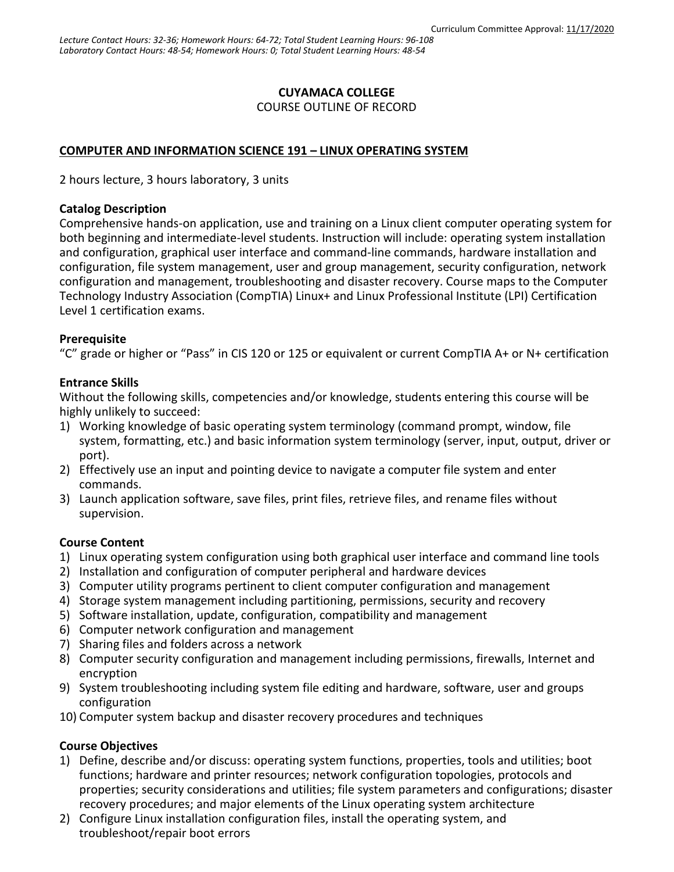### **CUYAMACA COLLEGE**

COURSE OUTLINE OF RECORD

### **COMPUTER AND INFORMATION SCIENCE 191 – LINUX OPERATING SYSTEM**

2 hours lecture, 3 hours laboratory, 3 units

#### **Catalog Description**

Comprehensive hands-on application, use and training on a Linux client computer operating system for both beginning and intermediate-level students. Instruction will include: operating system installation and configuration, graphical user interface and command-line commands, hardware installation and configuration, file system management, user and group management, security configuration, network configuration and management, troubleshooting and disaster recovery. Course maps to the Computer Technology Industry Association (CompTIA) Linux+ and Linux Professional Institute (LPI) Certification Level 1 certification exams.

#### **Prerequisite**

"C" grade or higher or "Pass" in CIS 120 or 125 or equivalent or current CompTIA A+ or N+ certification

#### **Entrance Skills**

Without the following skills, competencies and/or knowledge, students entering this course will be highly unlikely to succeed:

- 1) Working knowledge of basic operating system terminology (command prompt, window, file system, formatting, etc.) and basic information system terminology (server, input, output, driver or port).
- 2) Effectively use an input and pointing device to navigate a computer file system and enter commands.
- 3) Launch application software, save files, print files, retrieve files, and rename files without supervision.

# **Course Content**

- 1) Linux operating system configuration using both graphical user interface and command line tools
- 2) Installation and configuration of computer peripheral and hardware devices
- 3) Computer utility programs pertinent to client computer configuration and management
- 4) Storage system management including partitioning, permissions, security and recovery
- 5) Software installation, update, configuration, compatibility and management
- 6) Computer network configuration and management
- 7) Sharing files and folders across a network
- 8) Computer security configuration and management including permissions, firewalls, Internet and encryption
- 9) System troubleshooting including system file editing and hardware, software, user and groups configuration
- 10) Computer system backup and disaster recovery procedures and techniques

#### **Course Objectives**

- 1) Define, describe and/or discuss: operating system functions, properties, tools and utilities; boot functions; hardware and printer resources; network configuration topologies, protocols and properties; security considerations and utilities; file system parameters and configurations; disaster recovery procedures; and major elements of the Linux operating system architecture
- 2) Configure Linux installation configuration files, install the operating system, and troubleshoot/repair boot errors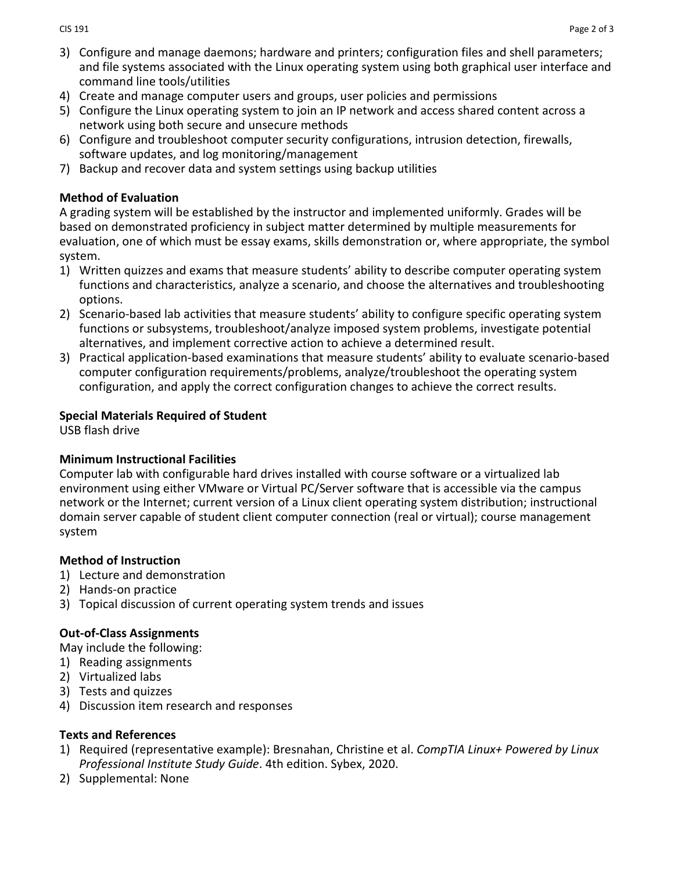- 3) Configure and manage daemons; hardware and printers; configuration files and shell parameters; and file systems associated with the Linux operating system using both graphical user interface and command line tools/utilities
- 4) Create and manage computer users and groups, user policies and permissions
- 5) Configure the Linux operating system to join an IP network and access shared content across a network using both secure and unsecure methods
- 6) Configure and troubleshoot computer security configurations, intrusion detection, firewalls, software updates, and log monitoring/management
- 7) Backup and recover data and system settings using backup utilities

### **Method of Evaluation**

A grading system will be established by the instructor and implemented uniformly. Grades will be based on demonstrated proficiency in subject matter determined by multiple measurements for evaluation, one of which must be essay exams, skills demonstration or, where appropriate, the symbol system.

- 1) Written quizzes and exams that measure students' ability to describe computer operating system functions and characteristics, analyze a scenario, and choose the alternatives and troubleshooting options.
- 2) Scenario-based lab activities that measure students' ability to configure specific operating system functions or subsystems, troubleshoot/analyze imposed system problems, investigate potential alternatives, and implement corrective action to achieve a determined result.
- 3) Practical application-based examinations that measure students' ability to evaluate scenario-based computer configuration requirements/problems, analyze/troubleshoot the operating system configuration, and apply the correct configuration changes to achieve the correct results.

# **Special Materials Required of Student**

USB flash drive

#### **Minimum Instructional Facilities**

Computer lab with configurable hard drives installed with course software or a virtualized lab environment using either VMware or Virtual PC/Server software that is accessible via the campus network or the Internet; current version of a Linux client operating system distribution; instructional domain server capable of student client computer connection (real or virtual); course management system

# **Method of Instruction**

- 1) Lecture and demonstration
- 2) Hands-on practice
- 3) Topical discussion of current operating system trends and issues

# **Out-of-Class Assignments**

May include the following:

- 1) Reading assignments
- 2) Virtualized labs
- 3) Tests and quizzes
- 4) Discussion item research and responses

#### **Texts and References**

- 1) Required (representative example): Bresnahan, Christine et al. *CompTIA Linux+ Powered by Linux Professional Institute Study Guide*. 4th edition. Sybex, 2020.
- 2) Supplemental: None